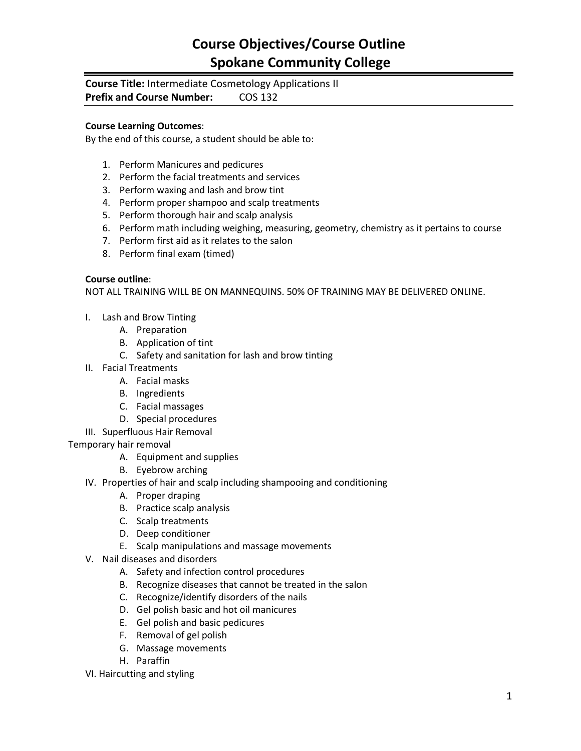### **Course Objectives/Course Outline Spokane Community College**

# **Course Title:** Intermediate Cosmetology Applications II

**Prefix and Course Number: COS 132** 

#### **Course Learning Outcomes**:

By the end of this course, a student should be able to:

- 1. Perform Manicures and pedicures
- 2. Perform the facial treatments and services
- 3. Perform waxing and lash and brow tint
- 4. Perform proper shampoo and scalp treatments
- 5. Perform thorough hair and scalp analysis
- 6. Perform math including weighing, measuring, geometry, chemistry as it pertains to course
- 7. Perform first aid as it relates to the salon
- 8. Perform final exam (timed)

#### **Course outline**:

NOT ALL TRAINING WILL BE ON MANNEQUINS. 50% OF TRAINING MAY BE DELIVERED ONLINE.

- I. Lash and Brow Tinting
	- A. Preparation
	- B. Application of tint
	- C. Safety and sanitation for lash and brow tinting
- II. Facial Treatments
	- A. Facial masks
	- B. Ingredients
	- C. Facial massages
	- D. Special procedures
- III. Superfluous Hair Removal
- Temporary hair removal
	- A. Equipment and supplies
	- B. Eyebrow arching
	- IV. Properties of hair and scalp including shampooing and conditioning
		- A. Proper draping
		- B. Practice scalp analysis
		- C. Scalp treatments
		- D. Deep conditioner
		- E. Scalp manipulations and massage movements
	- V. Nail diseases and disorders
		- A. Safety and infection control procedures
		- B. Recognize diseases that cannot be treated in the salon
		- C. Recognize/identify disorders of the nails
		- D. Gel polish basic and hot oil manicures
		- E. Gel polish and basic pedicures
		- F. Removal of gel polish
		- G. Massage movements
		- H. Paraffin

VI. Haircutting and styling